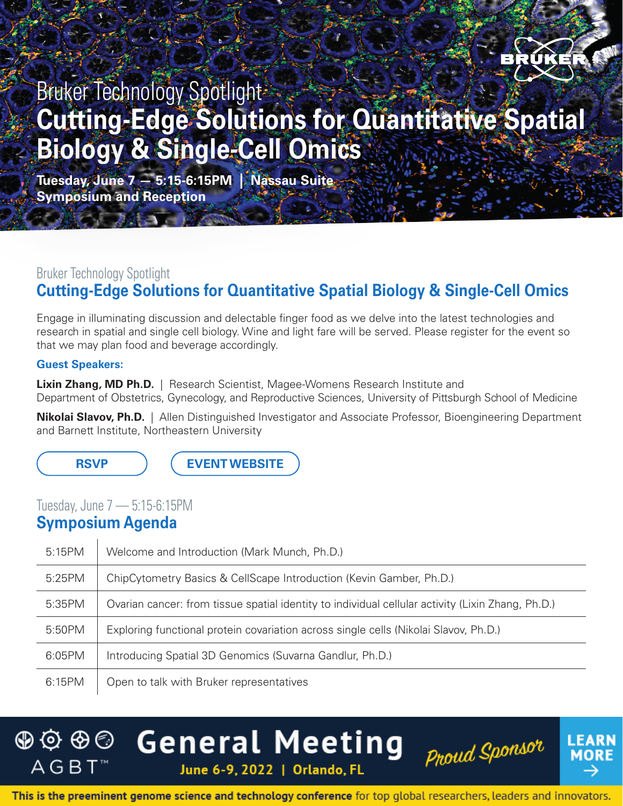

## Bruker Technology Spotlight **Cutting-Edge Solutions for Quantitative Spatial Biology & Single-Cell Omics**

**Tuesday, June 7 — 5:15-6:15PM | Nassau Suite Symposium and Reception**

## Bruker Technology Spotlight **Cutting-Edge Solutions for Quantitative Spatial Biology & Single-Cell Omics**

Engage in illuminating discussion and delectable finger food as we delve into the latest technologies and research in spatial and single cell biology. Wine and light fare will be served. Please register for the event so that we may plan food and beverage accordingly.

#### **Guest Speakers:**

**Lixin Zhang, MD Ph.D.** | Research Scientist, Magee-Womens Research Institute and Department of Obstetrics, Gynecology, and Reproductive Sciences, University of Pittsburgh School of Medicine

**Nikolai Slavov, Ph.D.** | Allen Distinguished Investigator and Associate Professor, Bioengineering Department and Barnett Institute, Northeastern University

**[RSVP](https://mbns.bruker.com/acton/form/9063/0589:d-0004/0/-/-/-/-/index.htm) [EVENT WEBSITE](https://www.bruker.com/en/news-and-events/events/agbt-general-meeting.html)**

### Tuesday, June 7 — 5:15-6:15PM

### **Symposium Agenda**

| 5:15PM | Welcome and Introduction (Mark Munch, Ph.D.)                                                      |
|--------|---------------------------------------------------------------------------------------------------|
| 5:25PM | ChipCytometry Basics & CellScape Introduction (Kevin Gamber, Ph.D.)                               |
| 5:35PM | Ovarian cancer: from tissue spatial identity to individual cellular activity (Lixin Zhang, Ph.D.) |
| 5:50PM | Exploring functional protein covariation across single cells (Nikolai Slavov, Ph.D.)              |
| 6:05PM | Introducing Spatial 3D Genomics (Suvarna Gandlur, Ph.D.)                                          |
| 6:15PM | Open to talk with Bruker representatives                                                          |





This is the preeminent genome science and technology conference for top global researchers, leaders and innovators.